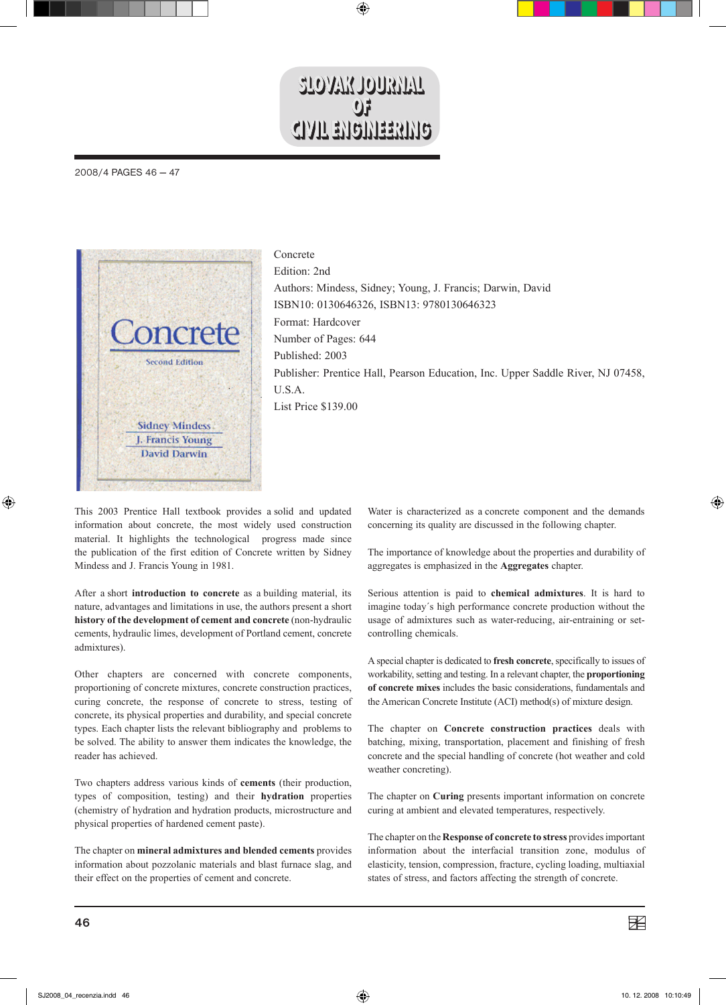## **STOAVR TO TRYIVT**  $\mathbf{0}$ **CIVIL ENGINEERING**

 $\bigoplus$ 

2008/4 PAGES 46 — 47



Concrete Edition: 2nd Authors: Mindess, Sidney; Young, J. Francis; Darwin, David ISBN10: 0130646326, ISBN13: 9780130646323 Format: Hardcover Number of Pages: 644 Published: 2003 Publisher: Prentice Hall, Pearson Education, Inc. Upper Saddle River, NJ 07458, U.S.A. List Price \$139.00

This 2003 Prentice Hall textbook provides a solid and updated information about concrete, the most widely used construction material. It highlights the technological progress made since the publication of the first edition of Concrete written by Sidney Mindess and J. Francis Young in 1981.

After a short **introduction to concrete** as a building material, its nature, advantages and limitations in use, the authors present a short **history of the development of cement and concrete** (non-hydraulic cements, hydraulic limes, development of Portland cement, concrete admixtures).

Other chapters are concerned with concrete components, proportioning of concrete mixtures, concrete construction practices, curing concrete, the response of concrete to stress, testing of concrete, its physical properties and durability, and special concrete types. Each chapter lists the relevant bibliography and problems to be solved. The ability to answer them indicates the knowledge, the reader has achieved.

Two chapters address various kinds of **cements** (their production, types of composition, testing) and their **hydration** properties (chemistry of hydration and hydration products, microstructure and physical properties of hardened cement paste).

The chapter on **mineral admixtures and blended cements** provides information about pozzolanic materials and blast furnace slag, and their effect on the properties of cement and concrete.

Water is characterized as a concrete component and the demands concerning its quality are discussed in the following chapter.

The importance of knowledge about the properties and durability of aggregates is emphasized in the **Aggregates** chapter.

Serious attention is paid to **chemical admixtures**. It is hard to imagine today´s high performance concrete production without the usage of admixtures such as water-reducing, air-entraining or setcontrolling chemicals.

A special chapter is dedicated to **fresh concrete**, specifically to issues of workability, setting and testing. In a relevant chapter, the **proportioning of concrete mixes** includes the basic considerations, fundamentals and the American Concrete Institute (ACI) method(s) of mixture design.

The chapter on **Concrete construction practices** deals with batching, mixing, transportation, placement and finishing of fresh concrete and the special handling of concrete (hot weather and cold weather concreting).

The chapter on **Curing** presents important information on concrete curing at ambient and elevated temperatures, respectively.

The chapter on the **Response of concrete to stress** provides important information about the interfacial transition zone, modulus of elasticity, tension, compression, fracture, cycling loading, multiaxial states of stress, and factors affecting the strength of concrete.

⊕

◈